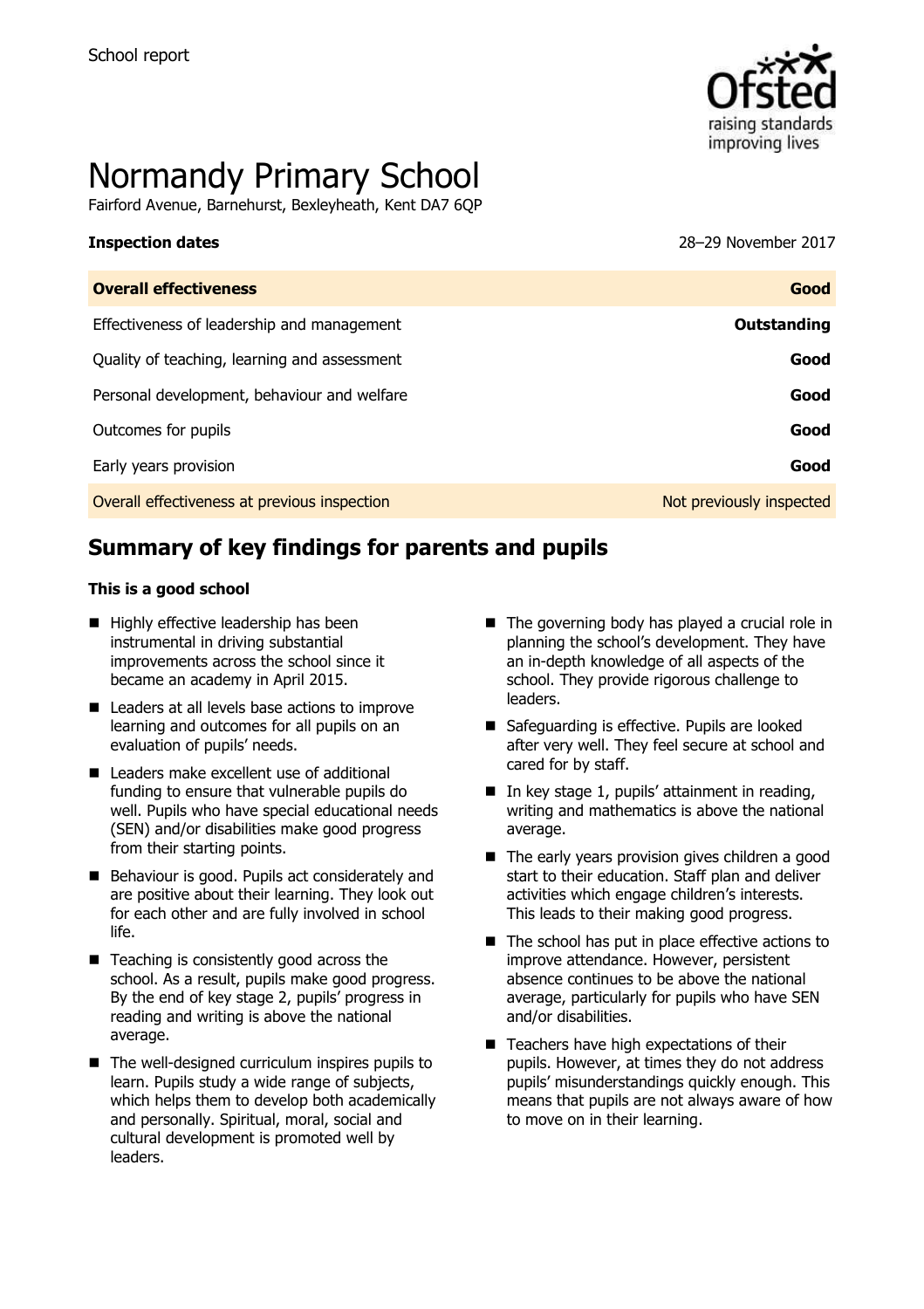

# Normandy Primary School

Fairford Avenue, Barnehurst, Bexleyheath, Kent DA7 6QP

#### **Inspection dates** 28–29 November 2017

| <b>Overall effectiveness</b>                 | Good                     |
|----------------------------------------------|--------------------------|
| Effectiveness of leadership and management   | Outstanding              |
| Quality of teaching, learning and assessment | Good                     |
| Personal development, behaviour and welfare  | Good                     |
| Outcomes for pupils                          | Good                     |
| Early years provision                        | Good                     |
| Overall effectiveness at previous inspection | Not previously inspected |

# **Summary of key findings for parents and pupils**

#### **This is a good school**

- $\blacksquare$  Highly effective leadership has been instrumental in driving substantial improvements across the school since it became an academy in April 2015.
- Leaders at all levels base actions to improve learning and outcomes for all pupils on an evaluation of pupils' needs.
- Leaders make excellent use of additional funding to ensure that vulnerable pupils do well. Pupils who have special educational needs (SEN) and/or disabilities make good progress from their starting points.
- Behaviour is good. Pupils act considerately and are positive about their learning. They look out for each other and are fully involved in school life.
- Teaching is consistently good across the school. As a result, pupils make good progress. By the end of key stage 2, pupils' progress in reading and writing is above the national average.
- $\blacksquare$  The well-designed curriculum inspires pupils to learn. Pupils study a wide range of subjects, which helps them to develop both academically and personally. Spiritual, moral, social and cultural development is promoted well by leaders.
- $\blacksquare$  The governing body has played a crucial role in planning the school's development. They have an in-depth knowledge of all aspects of the school. They provide rigorous challenge to leaders.
- Safeguarding is effective. Pupils are looked after very well. They feel secure at school and cared for by staff.
- $\blacksquare$  In key stage 1, pupils' attainment in reading, writing and mathematics is above the national average.
- The early years provision gives children a good start to their education. Staff plan and deliver activities which engage children's interests. This leads to their making good progress.
- The school has put in place effective actions to improve attendance. However, persistent absence continues to be above the national average, particularly for pupils who have SEN and/or disabilities.
- Teachers have high expectations of their pupils. However, at times they do not address pupils' misunderstandings quickly enough. This means that pupils are not always aware of how to move on in their learning.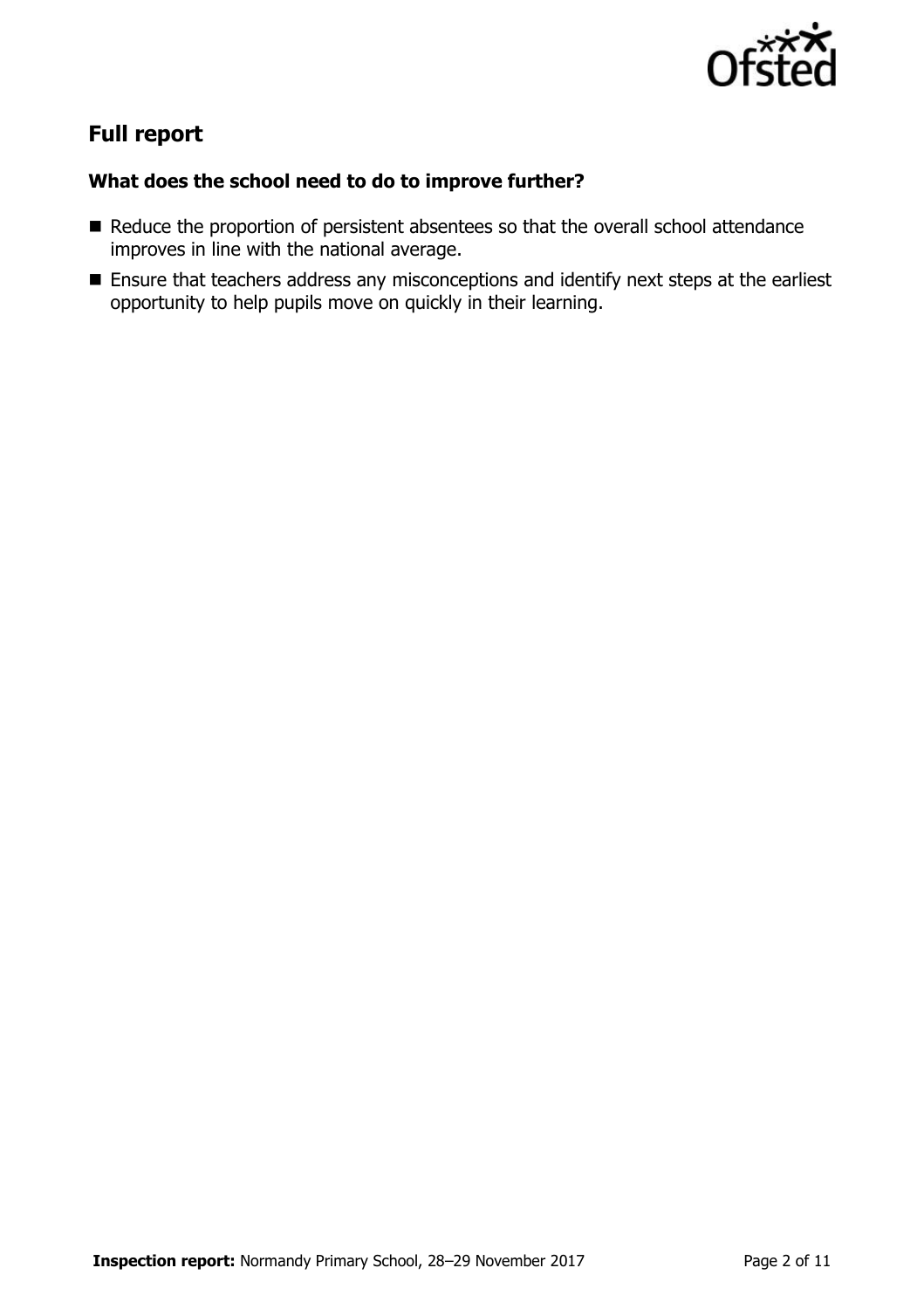

# **Full report**

### **What does the school need to do to improve further?**

- Reduce the proportion of persistent absentees so that the overall school attendance improves in line with the national average.
- **Ensure that teachers address any misconceptions and identify next steps at the earliest** opportunity to help pupils move on quickly in their learning.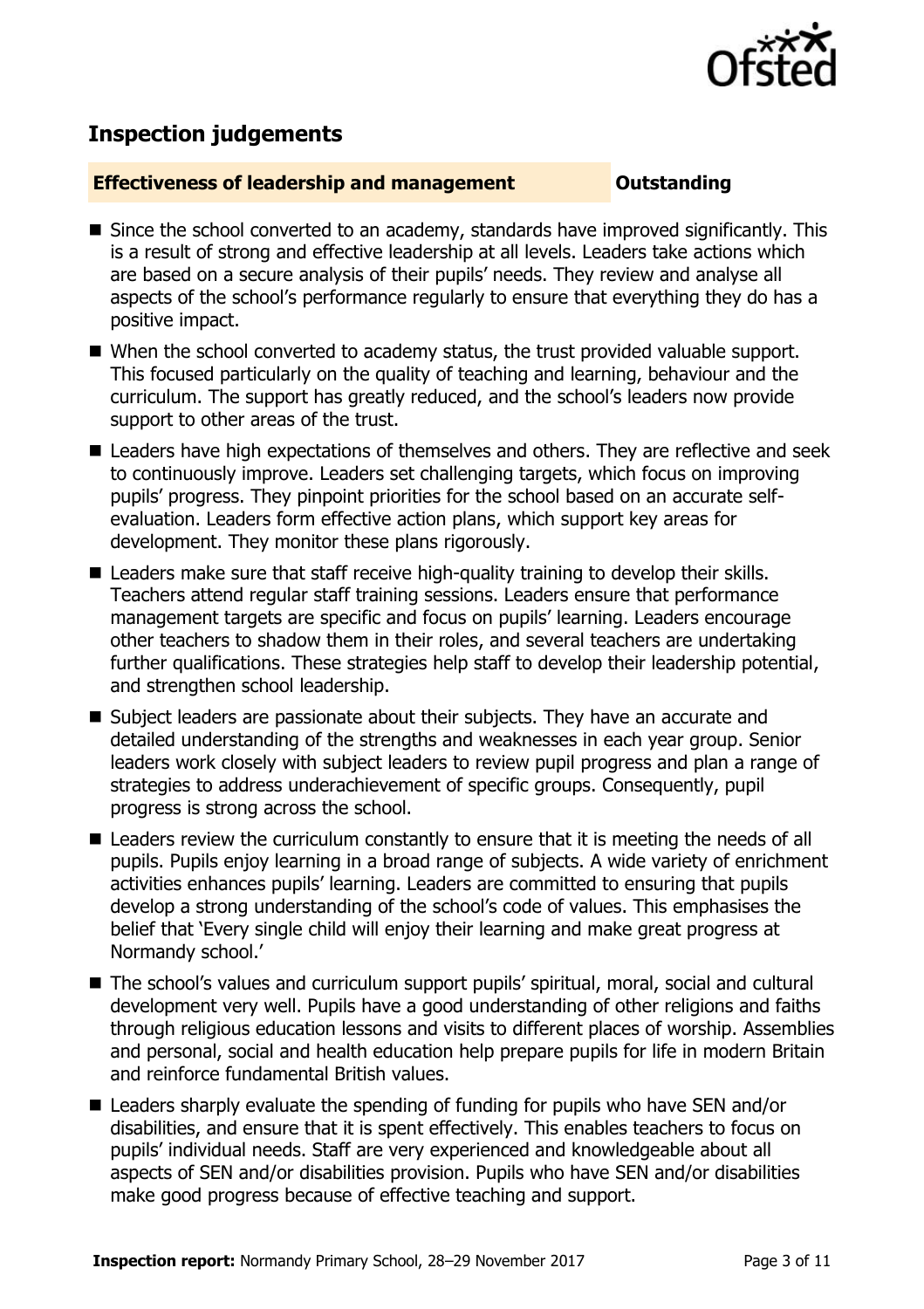

# **Inspection judgements**

#### **Effectiveness of leadership and management Constanding**

- Since the school converted to an academy, standards have improved significantly. This is a result of strong and effective leadership at all levels. Leaders take actions which are based on a secure analysis of their pupils' needs. They review and analyse all aspects of the school's performance regularly to ensure that everything they do has a positive impact.
- When the school converted to academy status, the trust provided valuable support. This focused particularly on the quality of teaching and learning, behaviour and the curriculum. The support has greatly reduced, and the school's leaders now provide support to other areas of the trust.
- Leaders have high expectations of themselves and others. They are reflective and seek to continuously improve. Leaders set challenging targets, which focus on improving pupils' progress. They pinpoint priorities for the school based on an accurate selfevaluation. Leaders form effective action plans, which support key areas for development. They monitor these plans rigorously.
- Leaders make sure that staff receive high-quality training to develop their skills. Teachers attend regular staff training sessions. Leaders ensure that performance management targets are specific and focus on pupils' learning. Leaders encourage other teachers to shadow them in their roles, and several teachers are undertaking further qualifications. These strategies help staff to develop their leadership potential, and strengthen school leadership.
- Subject leaders are passionate about their subjects. They have an accurate and detailed understanding of the strengths and weaknesses in each year group. Senior leaders work closely with subject leaders to review pupil progress and plan a range of strategies to address underachievement of specific groups. Consequently, pupil progress is strong across the school.
- Leaders review the curriculum constantly to ensure that it is meeting the needs of all pupils. Pupils enjoy learning in a broad range of subjects. A wide variety of enrichment activities enhances pupils' learning. Leaders are committed to ensuring that pupils develop a strong understanding of the school's code of values. This emphasises the belief that 'Every single child will enjoy their learning and make great progress at Normandy school.'
- The school's values and curriculum support pupils' spiritual, moral, social and cultural development very well. Pupils have a good understanding of other religions and faiths through religious education lessons and visits to different places of worship. Assemblies and personal, social and health education help prepare pupils for life in modern Britain and reinforce fundamental British values.
- Leaders sharply evaluate the spending of funding for pupils who have SEN and/or disabilities, and ensure that it is spent effectively. This enables teachers to focus on pupils' individual needs. Staff are very experienced and knowledgeable about all aspects of SEN and/or disabilities provision. Pupils who have SEN and/or disabilities make good progress because of effective teaching and support.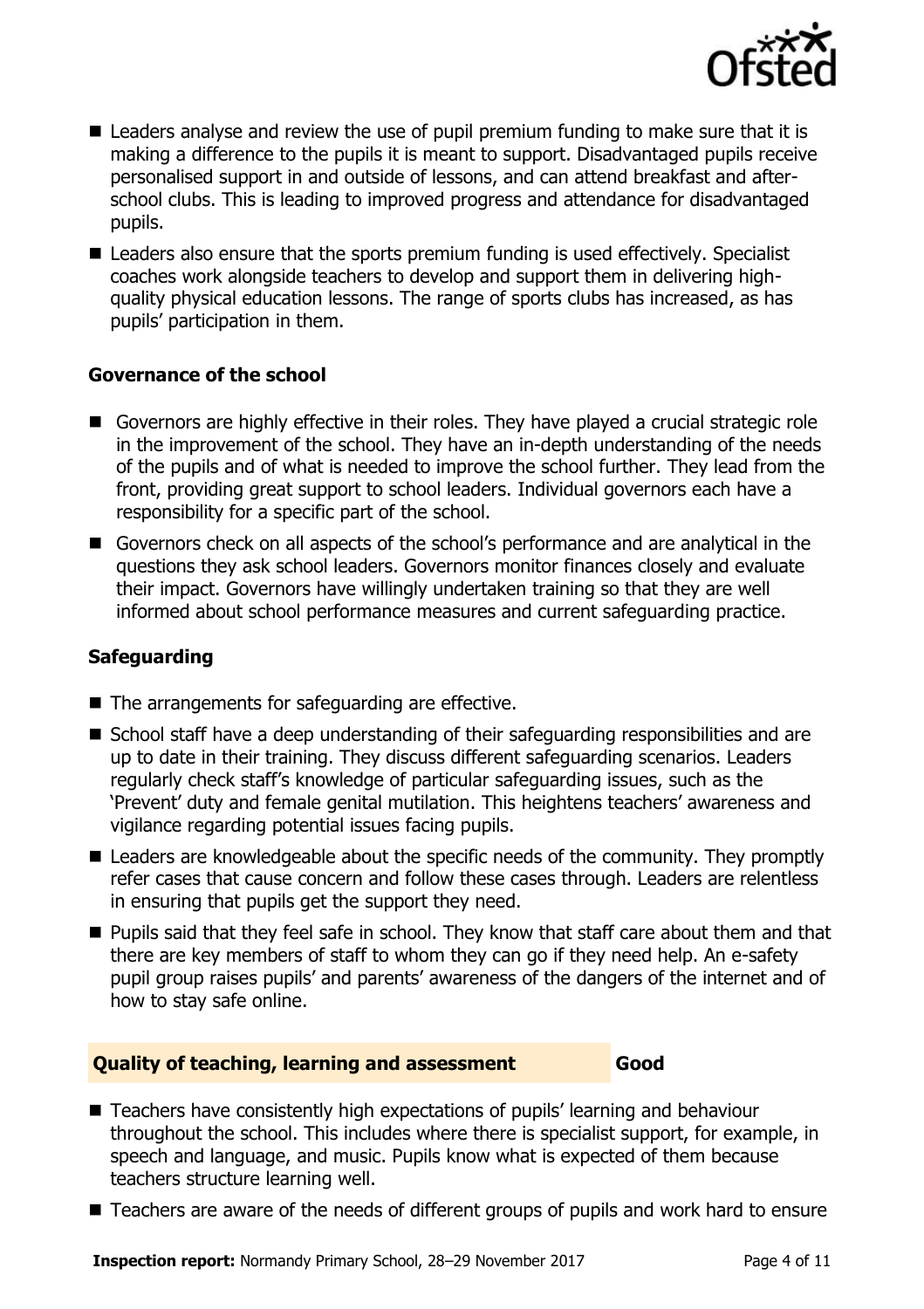

- Leaders analyse and review the use of pupil premium funding to make sure that it is making a difference to the pupils it is meant to support. Disadvantaged pupils receive personalised support in and outside of lessons, and can attend breakfast and afterschool clubs. This is leading to improved progress and attendance for disadvantaged pupils.
- Leaders also ensure that the sports premium funding is used effectively. Specialist coaches work alongside teachers to develop and support them in delivering highquality physical education lessons. The range of sports clubs has increased, as has pupils' participation in them.

### **Governance of the school**

- Governors are highly effective in their roles. They have played a crucial strategic role in the improvement of the school. They have an in-depth understanding of the needs of the pupils and of what is needed to improve the school further. They lead from the front, providing great support to school leaders. Individual governors each have a responsibility for a specific part of the school.
- Governors check on all aspects of the school's performance and are analytical in the questions they ask school leaders. Governors monitor finances closely and evaluate their impact. Governors have willingly undertaken training so that they are well informed about school performance measures and current safeguarding practice.

### **Safeguarding**

- The arrangements for safeguarding are effective.
- School staff have a deep understanding of their safeguarding responsibilities and are up to date in their training. They discuss different safeguarding scenarios. Leaders regularly check staff's knowledge of particular safeguarding issues, such as the 'Prevent' duty and female genital mutilation. This heightens teachers' awareness and vigilance regarding potential issues facing pupils.
- Leaders are knowledgeable about the specific needs of the community. They promptly refer cases that cause concern and follow these cases through. Leaders are relentless in ensuring that pupils get the support they need.
- **Pupils said that they feel safe in school. They know that staff care about them and that** there are key members of staff to whom they can go if they need help. An e-safety pupil group raises pupils' and parents' awareness of the dangers of the internet and of how to stay safe online.

#### **Quality of teaching, learning and assessment Good**

- Teachers have consistently high expectations of pupils' learning and behaviour throughout the school. This includes where there is specialist support, for example, in speech and language, and music. Pupils know what is expected of them because teachers structure learning well.
- Teachers are aware of the needs of different groups of pupils and work hard to ensure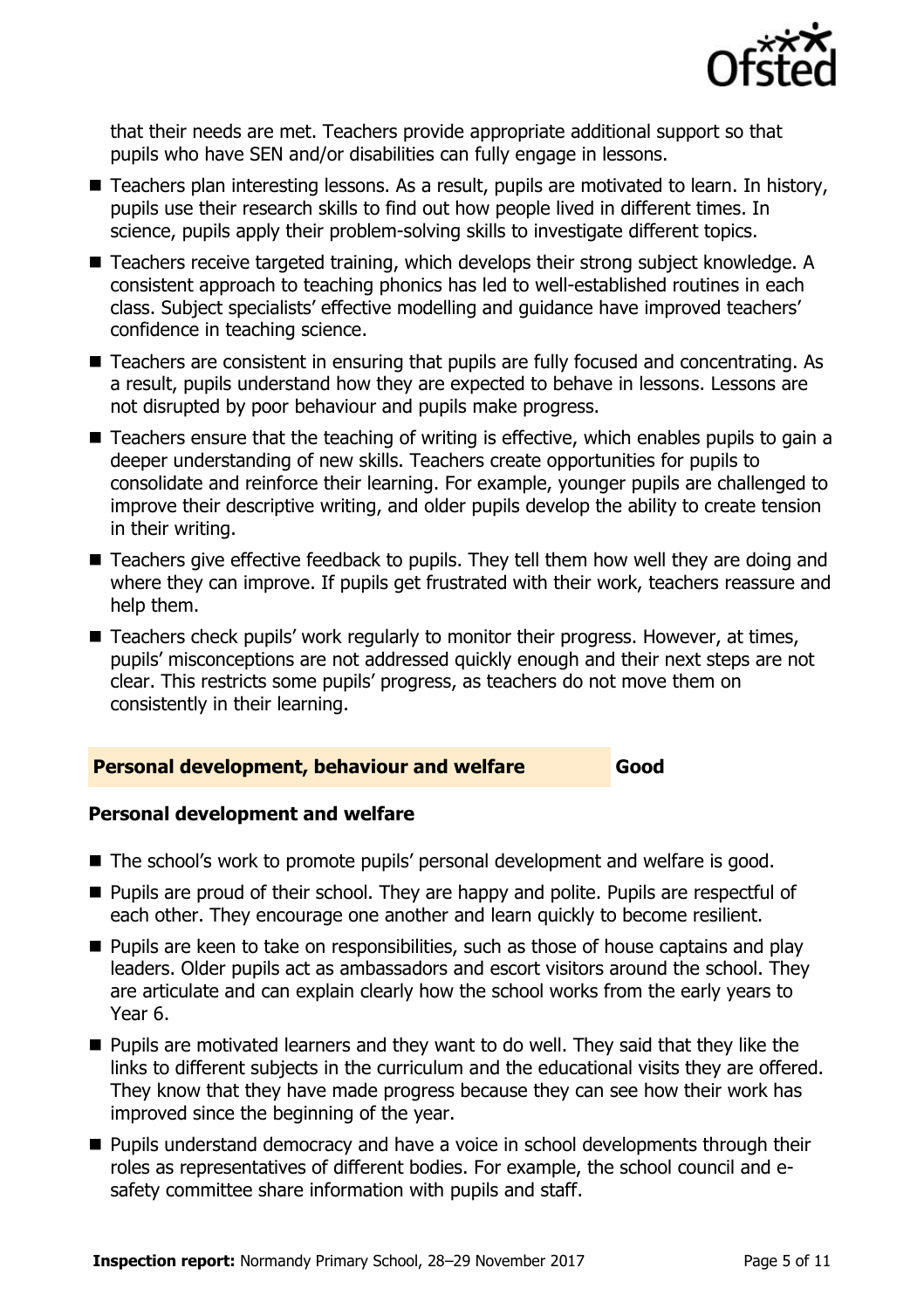

that their needs are met. Teachers provide appropriate additional support so that pupils who have SEN and/or disabilities can fully engage in lessons.

- Teachers plan interesting lessons. As a result, pupils are motivated to learn. In history, pupils use their research skills to find out how people lived in different times. In science, pupils apply their problem-solving skills to investigate different topics.
- Teachers receive targeted training, which develops their strong subject knowledge. A consistent approach to teaching phonics has led to well-established routines in each class. Subject specialists' effective modelling and guidance have improved teachers' confidence in teaching science.
- Teachers are consistent in ensuring that pupils are fully focused and concentrating. As a result, pupils understand how they are expected to behave in lessons. Lessons are not disrupted by poor behaviour and pupils make progress.
- Teachers ensure that the teaching of writing is effective, which enables pupils to gain a deeper understanding of new skills. Teachers create opportunities for pupils to consolidate and reinforce their learning. For example, younger pupils are challenged to improve their descriptive writing, and older pupils develop the ability to create tension in their writing.
- Teachers give effective feedback to pupils. They tell them how well they are doing and where they can improve. If pupils get frustrated with their work, teachers reassure and help them.
- Teachers check pupils' work regularly to monitor their progress. However, at times, pupils' misconceptions are not addressed quickly enough and their next steps are not clear. This restricts some pupils' progress, as teachers do not move them on consistently in their learning.

### **Personal development, behaviour and welfare Good**

#### **Personal development and welfare**

- The school's work to promote pupils' personal development and welfare is good.
- **Pupils are proud of their school. They are happy and polite. Pupils are respectful of** each other. They encourage one another and learn quickly to become resilient.
- **Pupils are keen to take on responsibilities, such as those of house captains and play** leaders. Older pupils act as ambassadors and escort visitors around the school. They are articulate and can explain clearly how the school works from the early years to Year 6.
- **Pupils are motivated learners and they want to do well. They said that they like the** links to different subjects in the curriculum and the educational visits they are offered. They know that they have made progress because they can see how their work has improved since the beginning of the year.
- **Pupils understand democracy and have a voice in school developments through their** roles as representatives of different bodies. For example, the school council and esafety committee share information with pupils and staff.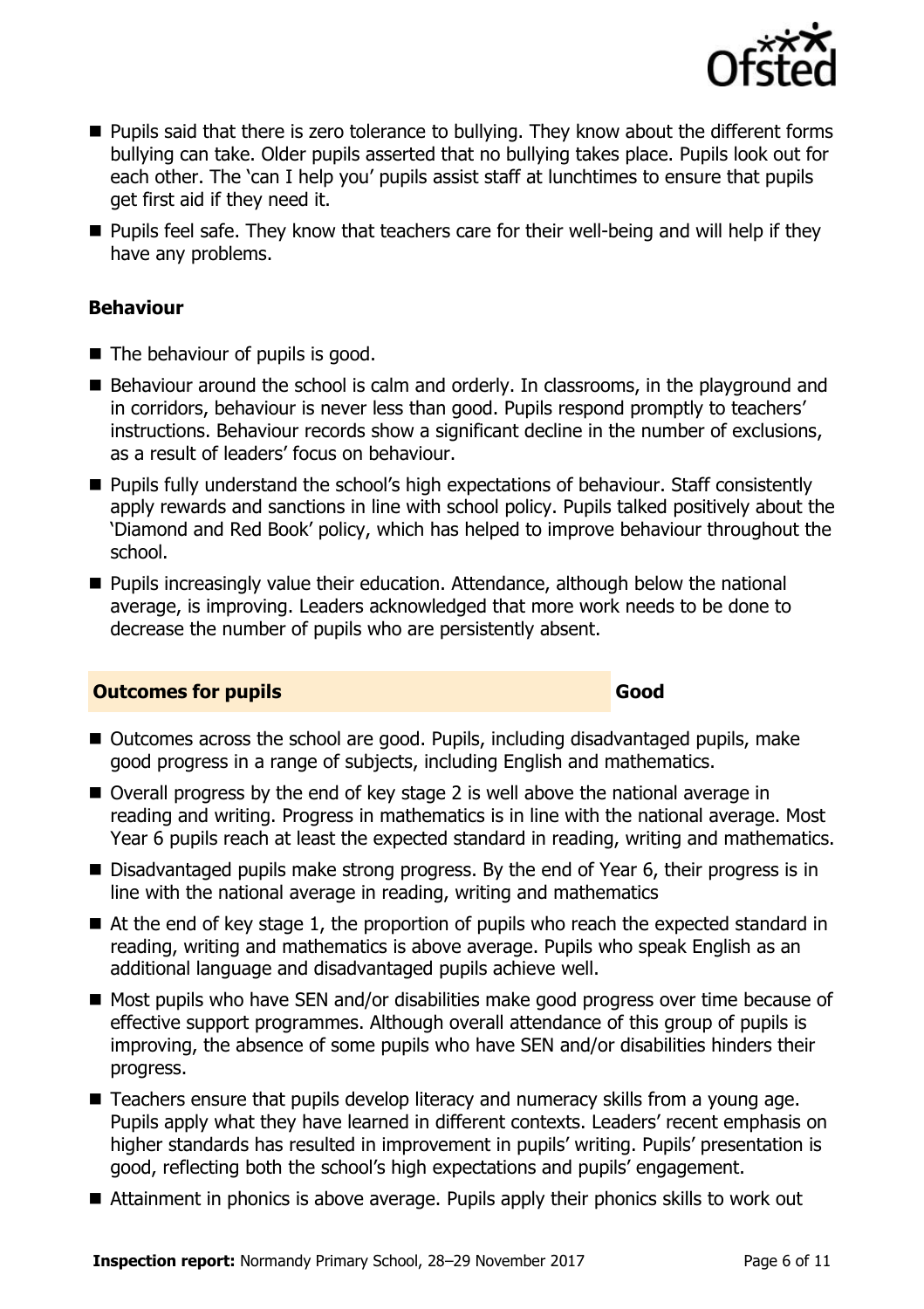

- **Pupils said that there is zero tolerance to bullying. They know about the different forms** bullying can take. Older pupils asserted that no bullying takes place. Pupils look out for each other. The 'can I help you' pupils assist staff at lunchtimes to ensure that pupils get first aid if they need it.
- $\blacksquare$  Pupils feel safe. They know that teachers care for their well-being and will help if they have any problems.

#### **Behaviour**

- The behaviour of pupils is good.
- Behaviour around the school is calm and orderly. In classrooms, in the playground and in corridors, behaviour is never less than good. Pupils respond promptly to teachers' instructions. Behaviour records show a significant decline in the number of exclusions, as a result of leaders' focus on behaviour.
- **Pupils fully understand the school's high expectations of behaviour. Staff consistently** apply rewards and sanctions in line with school policy. Pupils talked positively about the 'Diamond and Red Book' policy, which has helped to improve behaviour throughout the school.
- **Pupils increasingly value their education. Attendance, although below the national** average, is improving. Leaders acknowledged that more work needs to be done to decrease the number of pupils who are persistently absent.

### **Outcomes for pupils Good Good**

- Outcomes across the school are good. Pupils, including disadvantaged pupils, make good progress in a range of subjects, including English and mathematics.
- Overall progress by the end of key stage 2 is well above the national average in reading and writing. Progress in mathematics is in line with the national average. Most Year 6 pupils reach at least the expected standard in reading, writing and mathematics.
- Disadvantaged pupils make strong progress. By the end of Year 6, their progress is in line with the national average in reading, writing and mathematics
- At the end of key stage 1, the proportion of pupils who reach the expected standard in reading, writing and mathematics is above average. Pupils who speak English as an additional language and disadvantaged pupils achieve well.
- Most pupils who have SEN and/or disabilities make good progress over time because of effective support programmes. Although overall attendance of this group of pupils is improving, the absence of some pupils who have SEN and/or disabilities hinders their progress.
- Teachers ensure that pupils develop literacy and numeracy skills from a young age. Pupils apply what they have learned in different contexts. Leaders' recent emphasis on higher standards has resulted in improvement in pupils' writing. Pupils' presentation is good, reflecting both the school's high expectations and pupils' engagement.
- Attainment in phonics is above average. Pupils apply their phonics skills to work out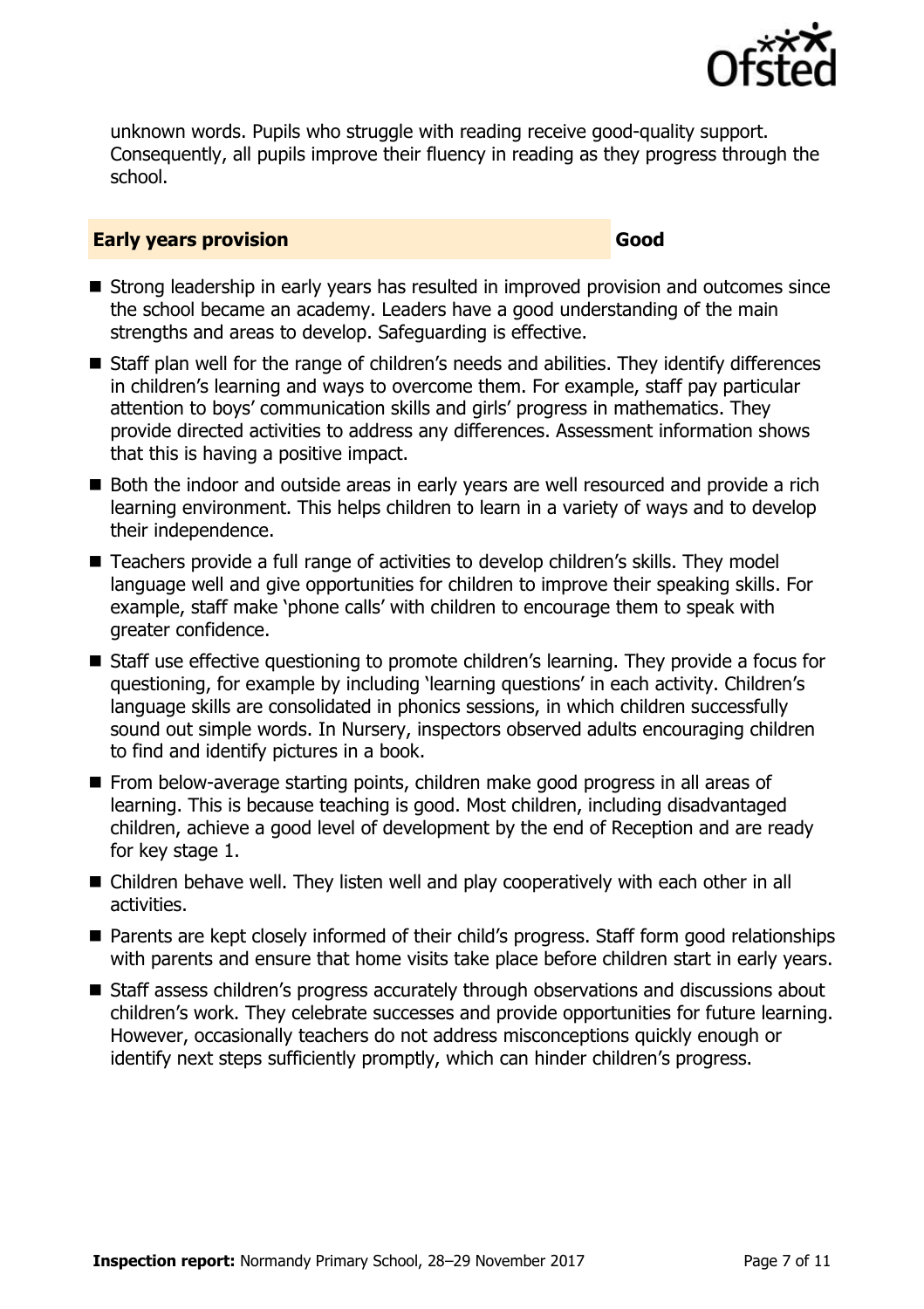

unknown words. Pupils who struggle with reading receive good-quality support. Consequently, all pupils improve their fluency in reading as they progress through the school.

#### **Early years provision Good Good**

- Strong leadership in early years has resulted in improved provision and outcomes since the school became an academy. Leaders have a good understanding of the main strengths and areas to develop. Safeguarding is effective.
- Staff plan well for the range of children's needs and abilities. They identify differences in children's learning and ways to overcome them. For example, staff pay particular attention to boys' communication skills and girls' progress in mathematics. They provide directed activities to address any differences. Assessment information shows that this is having a positive impact.
- Both the indoor and outside areas in early years are well resourced and provide a rich learning environment. This helps children to learn in a variety of ways and to develop their independence.
- Teachers provide a full range of activities to develop children's skills. They model language well and give opportunities for children to improve their speaking skills. For example, staff make 'phone calls' with children to encourage them to speak with greater confidence.
- Staff use effective questioning to promote children's learning. They provide a focus for questioning, for example by including 'learning questions' in each activity. Children's language skills are consolidated in phonics sessions, in which children successfully sound out simple words. In Nursery, inspectors observed adults encouraging children to find and identify pictures in a book.
- From below-average starting points, children make good progress in all areas of learning. This is because teaching is good. Most children, including disadvantaged children, achieve a good level of development by the end of Reception and are ready for key stage 1.
- Children behave well. They listen well and play cooperatively with each other in all activities.
- Parents are kept closely informed of their child's progress. Staff form good relationships with parents and ensure that home visits take place before children start in early years.
- Staff assess children's progress accurately through observations and discussions about children's work. They celebrate successes and provide opportunities for future learning. However, occasionally teachers do not address misconceptions quickly enough or identify next steps sufficiently promptly, which can hinder children's progress.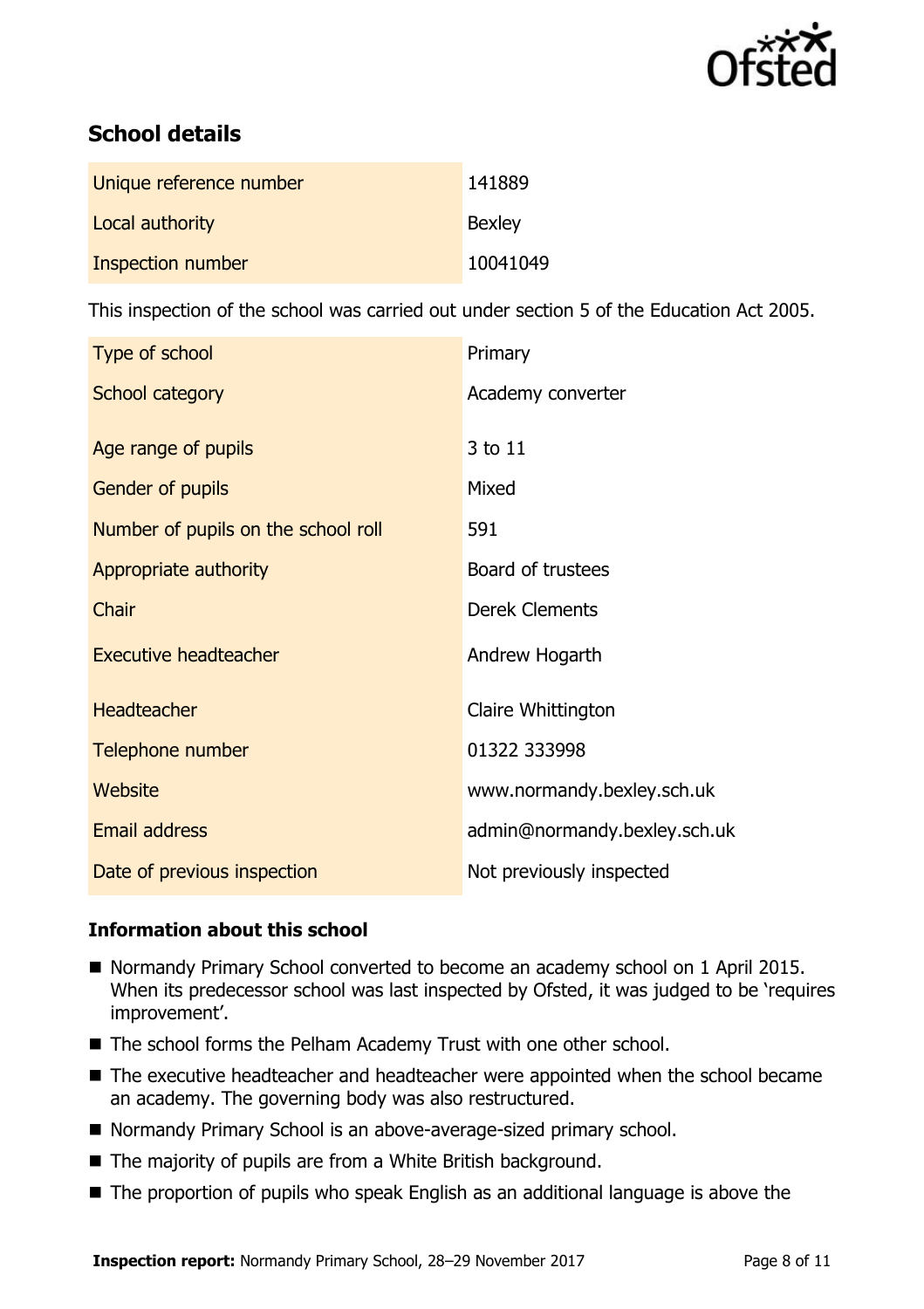

# **School details**

| Unique reference number | 141889        |
|-------------------------|---------------|
| Local authority         | <b>Bexley</b> |
| Inspection number       | 10041049      |

This inspection of the school was carried out under section 5 of the Education Act 2005.

| Type of school                      | Primary                      |
|-------------------------------------|------------------------------|
| School category                     | Academy converter            |
|                                     |                              |
| Age range of pupils                 | 3 to 11                      |
| Gender of pupils                    | Mixed                        |
| Number of pupils on the school roll | 591                          |
| Appropriate authority               | Board of trustees            |
| Chair                               | <b>Derek Clements</b>        |
| <b>Executive headteacher</b>        | Andrew Hogarth               |
| <b>Headteacher</b>                  | Claire Whittington           |
| Telephone number                    | 01322 333998                 |
| <b>Website</b>                      | www.normandy.bexley.sch.uk   |
| <b>Email address</b>                | admin@normandy.bexley.sch.uk |
| Date of previous inspection         | Not previously inspected     |

### **Information about this school**

- Normandy Primary School converted to become an academy school on 1 April 2015. When its predecessor school was last inspected by Ofsted, it was judged to be 'requires improvement'.
- The school forms the Pelham Academy Trust with one other school.
- The executive headteacher and headteacher were appointed when the school became an academy. The governing body was also restructured.
- Normandy Primary School is an above-average-sized primary school.
- The majority of pupils are from a White British background.
- The proportion of pupils who speak English as an additional language is above the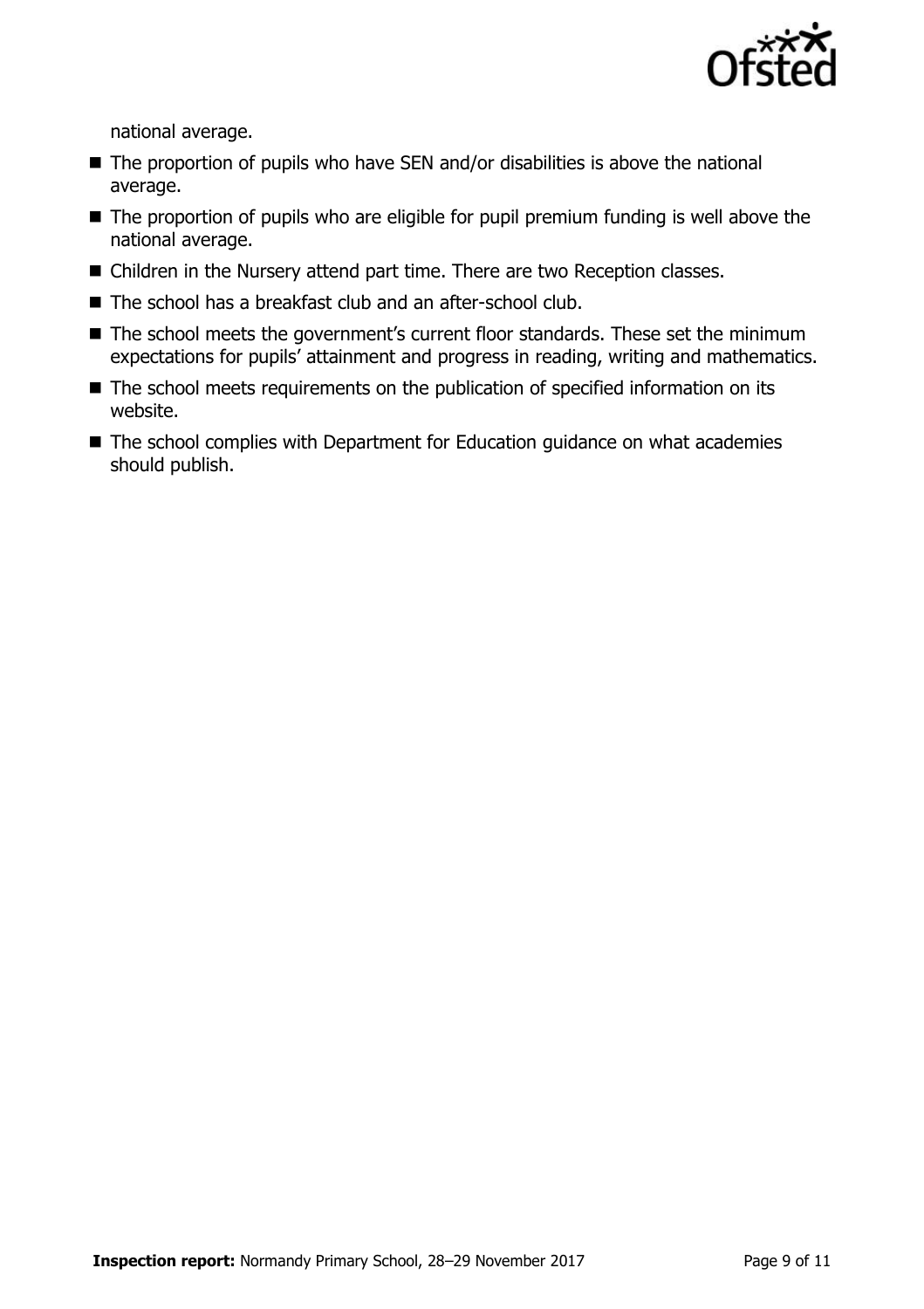

national average.

- $\blacksquare$  The proportion of pupils who have SEN and/or disabilities is above the national average.
- $\blacksquare$  The proportion of pupils who are eligible for pupil premium funding is well above the national average.
- Children in the Nursery attend part time. There are two Reception classes.
- The school has a breakfast club and an after-school club.
- The school meets the government's current floor standards. These set the minimum expectations for pupils' attainment and progress in reading, writing and mathematics.
- The school meets requirements on the publication of specified information on its website.
- The school complies with Department for Education guidance on what academies should publish.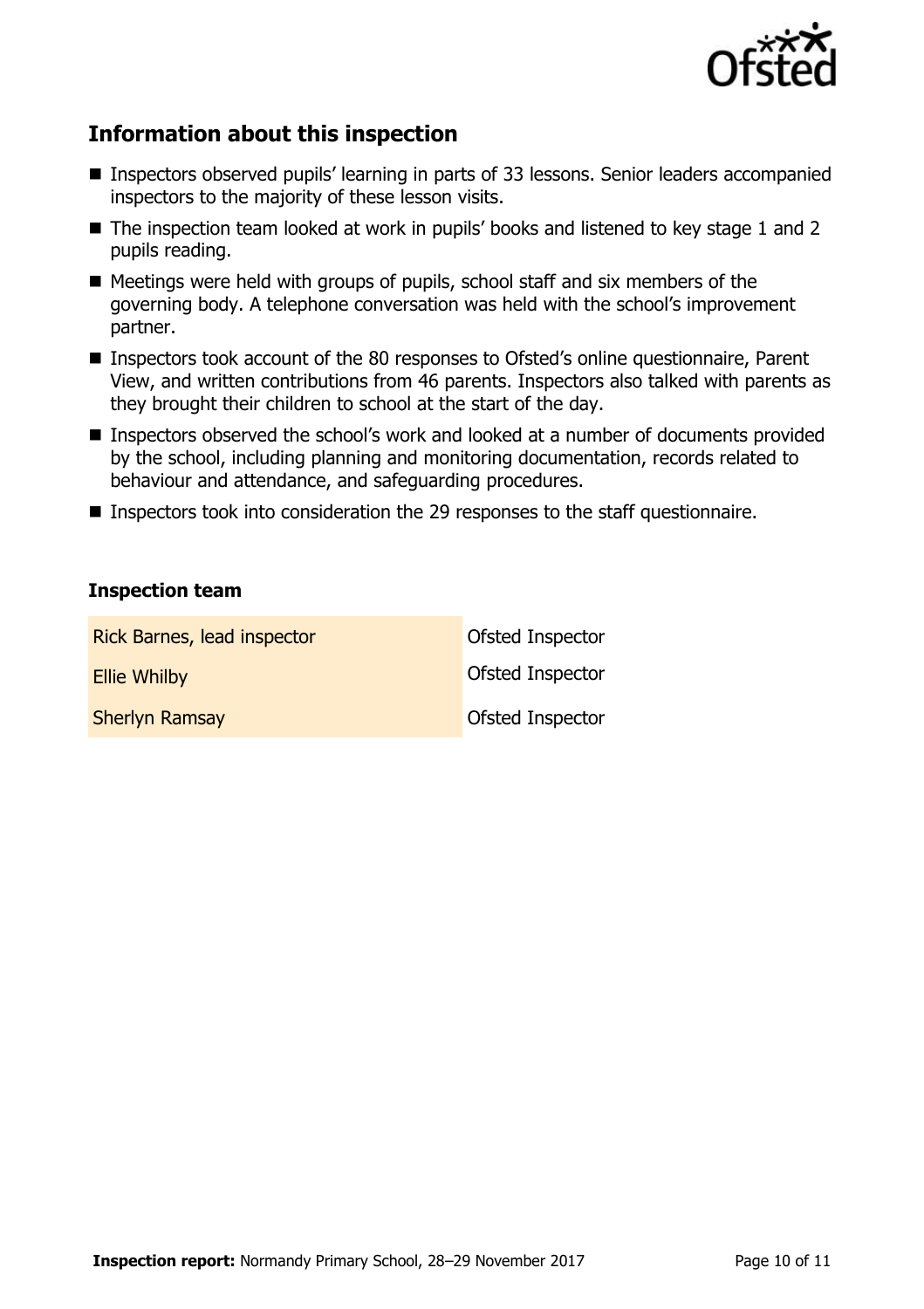

## **Information about this inspection**

- Inspectors observed pupils' learning in parts of 33 lessons. Senior leaders accompanied inspectors to the majority of these lesson visits.
- The inspection team looked at work in pupils' books and listened to key stage 1 and 2 pupils reading.
- $\blacksquare$  Meetings were held with groups of pupils, school staff and six members of the governing body. A telephone conversation was held with the school's improvement partner.
- Inspectors took account of the 80 responses to Ofsted's online questionnaire, Parent View, and written contributions from 46 parents. Inspectors also talked with parents as they brought their children to school at the start of the day.
- Inspectors observed the school's work and looked at a number of documents provided by the school, including planning and monitoring documentation, records related to behaviour and attendance, and safeguarding procedures.
- Inspectors took into consideration the 29 responses to the staff questionnaire.

#### **Inspection team**

| Rick Barnes, lead inspector | Ofsted Inspector        |
|-----------------------------|-------------------------|
| <b>Ellie Whilby</b>         | <b>Ofsted Inspector</b> |
| <b>Sherlyn Ramsay</b>       | Ofsted Inspector        |